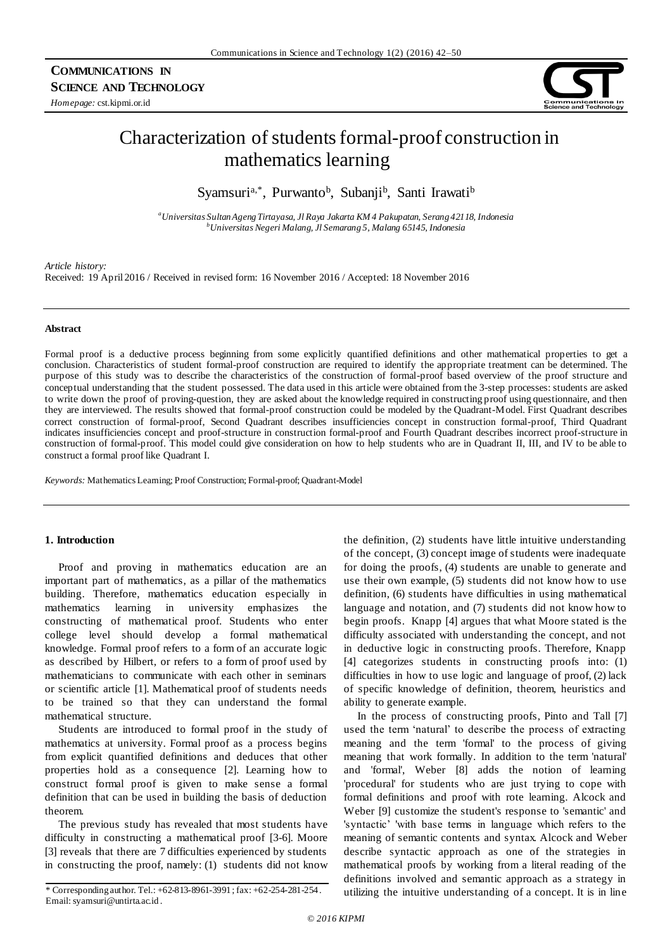## **COMMUNICATIONS IN SCIENCE AND TECHNOLOGY**

*Homepage:* cst.kipmi.or.id



# Characterization of students formal-proof construction in mathematics learning

Syamsuri<sup>a,\*</sup>, Purwanto<sup>b</sup>, Subanji<sup>b</sup>, Santi Irawati<sup>b</sup>

*<sup>a</sup>Universitas Sultan Ageng Tirtayasa, Jl Raya Jakarta KM 4 Pakupatan, Serang 42118, Indonesia <sup>b</sup>UniversitasNegeri Malang, Jl Semarang 5, Malang 65145, Indonesia*

*Article history:*

Received: 19 April 2016 / Received in revised form: 16 November 2016 / Accepted: 18 November 2016

#### **Abstract**

Formal proof is a deductive process beginning from some explicitly quantified definitions and other mathematical properties to get a conclusion. Characteristics of student formal-proof construction are required to identify the appropriate treatment can be determined. The purpose of this study was to describe the characteristics of the construction of formal-proof based overview of the proof structure and conceptual understanding that the student possessed. The data used in this article were obtained from the 3-step processes: students are asked to write down the proof of proving-question, they are asked about the knowledge required in constructing proof using questionnaire, and then they are interviewed. The results showed that formal-proof construction could be modeled by the Quadrant-Model. First Quadrant describes correct construction of formal-proof, Second Quadrant describes insufficiencies concept in construction formal-proof, Third Quadrant indicates insufficiencies concept and proof-structure in construction formal-proof and Fourth Quadrant describes incorrect proof-structure in construction of formal-proof. This model could give consideration on how to help students who are in Quadrant II, III, and IV to be able to construct a formal proof like Quadrant I.

*Keywords:* Mathematics Learning; Proof Construction; Formal-proof; Quadrant-Model

## **1. Introduction**

Proof and proving in mathematics education are an important part of mathematics, as a pillar of the mathematics building. Therefore, mathematics education especially in mathematics learning in university emphasizes the constructing of mathematical proof. Students who enter college level should develop a formal mathematical knowledge. Formal proof refers to a form of an accurate logic as described by Hilbert, or refers to a form of proof used by mathematicians to communicate with each other in seminars or scientific article [1]. Mathematical proof of students needs to be trained so that they can understand the formal mathematical structure.

Students are introduced to formal proof in the study of mathematics at university. Formal proof as a process begins from explicit quantified definitions and deduces that other properties hold as a consequence [2]. Learning how to construct formal proof is given to make sense a formal definition that can be used in building the basis of deduction theorem.

The previous study has revealed that most students have difficulty in constructing a mathematical proof [3-6]. Moore [3] reveals that there are 7 difficulties experienced by students in constructing the proof, namely: (1) students did not know the definition, (2) students have little intuitive understanding of the concept, (3) concept image of students were inadequate for doing the proofs, (4) students are unable to generate and use their own example, (5) students did not know how to use definition, (6) students have difficulties in using mathematical language and notation, and (7) students did not know how to begin proofs. Knapp [4] argues that what Moore stated is the difficulty associated with understanding the concept, and not in deductive logic in constructing proofs. Therefore, Knapp [4] categorizes students in constructing proofs into: (1) difficulties in how to use logic and language of proof, (2) lack of specific knowledge of definition, theorem, heuristics and ability to generate example.

In the process of constructing proofs, Pinto and Tall [7] used the term 'natural' to describe the process of extracting meaning and the term 'formal' to the process of giving meaning that work formally. In addition to the term 'natural' and 'formal', Weber [8] adds the notion of learning 'procedural' for students who are just trying to cope with formal definitions and proof with rote learning. Alcock and Weber [9] customize the student's response to 'semantic' and 'syntactic' 'with base terms in language which refers to the meaning of semantic contents and syntax. Alcock and Weber describe syntactic approach as one of the strategies in mathematical proofs by working from a literal reading of the definitions involved and semantic approach as a strategy in \* Corresponding author. Tel.: +62-813-8961-3991 ; fax: +62-254-281-254. utilizing the intuitive understanding of a concept. It is in line

Email: syamsuri@untirta.ac.id .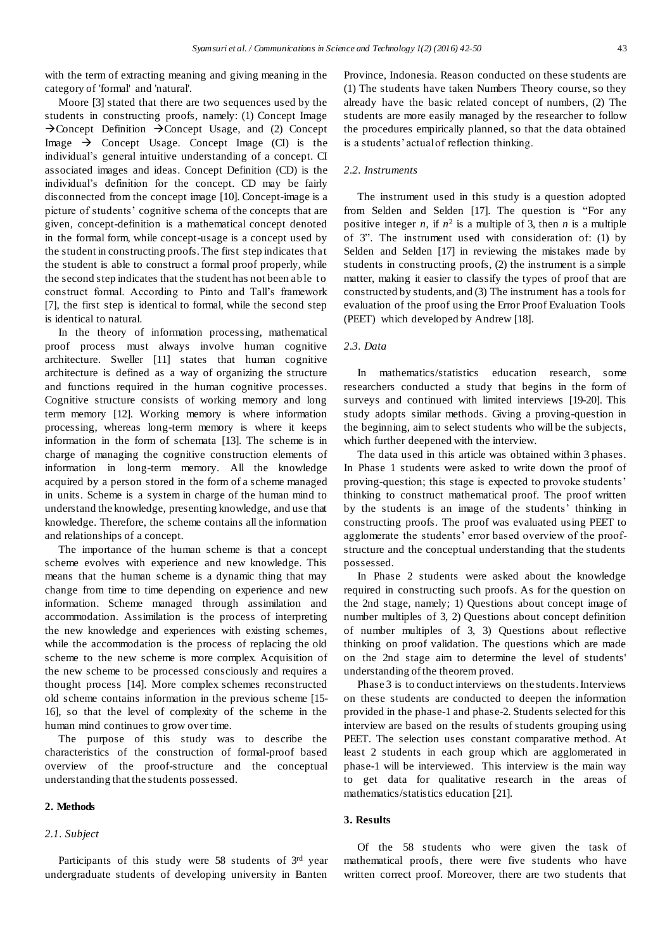with the term of extracting meaning and giving meaning in the category of 'formal' and 'natural'.

Moore [3] stated that there are two sequences used by the students in constructing proofs, namely: (1) Concept Image  $\rightarrow$  Concept Definition  $\rightarrow$  Concept Usage, and (2) Concept Image  $\rightarrow$  Concept Usage. Concept Image (CI) is the individual's general intuitive understanding of a concept. CI associated images and ideas. Concept Definition (CD) is the individual's definition for the concept. CD may be fairly disconnected from the concept image [10]. Concept-image is a picture of students' cognitive schema of the concepts that are given, concept-definition is a mathematical concept denoted in the formal form, while concept-usage is a concept used by the student in constructing proofs. The first step indicates that the student is able to construct a formal proof properly, while the second step indicates that the student has not been able to construct formal. According to Pinto and Tall's framework [7], the first step is identical to formal, while the second step is identical to natural.

In the theory of information processing, mathematical proof process must always involve human cognitive architecture. Sweller [11] states that human cognitive architecture is defined as a way of organizing the structure and functions required in the human cognitive processes. Cognitive structure consists of working memory and long term memory [12]. Working memory is where information processing, whereas long-term memory is where it keeps information in the form of schemata [13]. The scheme is in charge of managing the cognitive construction elements of information in long-term memory. All the knowledge acquired by a person stored in the form of a scheme managed in units. Scheme is a system in charge of the human mind to understand the knowledge, presenting knowledge, and use that knowledge. Therefore, the scheme contains all the information and relationships of a concept.

The importance of the human scheme is that a concept scheme evolves with experience and new knowledge. This means that the human scheme is a dynamic thing that may change from time to time depending on experience and new information. Scheme managed through assimilation and accommodation. Assimilation is the process of interpreting the new knowledge and experiences with existing schemes, while the accommodation is the process of replacing the old scheme to the new scheme is more complex. Acquisition of the new scheme to be processed consciously and requires a thought process [14]. More complex schemes reconstructed old scheme contains information in the previous scheme [15- 16], so that the level of complexity of the scheme in the human mind continues to grow over time.

The purpose of this study was to describe the characteristics of the construction of formal-proof based overview of the proof-structure and the conceptual understanding that the students possessed.

#### **2. Methods**

## *2.1. Subject*

Participants of this study were 58 students of 3rd year undergraduate students of developing university in Banten

Province, Indonesia. Reason conducted on these students are (1) The students have taken Numbers Theory course, so they already have the basic related concept of numbers, (2) The students are more easily managed by the researcher to follow the procedures empirically planned, so that the data obtained is a students' actual of reflection thinking.

## *2.2. Instruments*

The instrument used in this study is a question adopted from Selden and Selden [17]. The question is "For any positive integer *n*, if  $n^2$  is a multiple of 3, then *n* is a multiple of 3". The instrument used with consideration of: (1) by Selden and Selden [17] in reviewing the mistakes made by students in constructing proofs, (2) the instrument is a simple matter, making it easier to classify the types of proof that are constructed by students, and (3) The instrument has a tools for evaluation of the proof using the Error Proof Evaluation Tools (PEET) which developed by Andrew [18].

## *2.3. Data*

In mathematics/statistics education research, some researchers conducted a study that begins in the form of surveys and continued with limited interviews [19-20]. This study adopts similar methods. Giving a proving-question in the beginning, aim to select students who will be the subjects, which further deepened with the interview.

The data used in this article was obtained within 3 phases. In Phase 1 students were asked to write down the proof of proving-question; this stage is expected to provoke students' thinking to construct mathematical proof. The proof written by the students is an image of the students' thinking in constructing proofs. The proof was evaluated using PEET to agglomerate the students' error based overview of the proofstructure and the conceptual understanding that the students possessed.

In Phase 2 students were asked about the knowledge required in constructing such proofs. As for the question on the 2nd stage, namely; 1) Questions about concept image of number multiples of 3, 2) Questions about concept definition of number multiples of 3, 3) Questions about reflective thinking on proof validation. The questions which are made on the 2nd stage aim to determine the level of students' understanding of the theorem proved.

Phase 3 is to conduct interviews on the students. Interviews on these students are conducted to deepen the information provided in the phase-1 and phase-2. Students selected for this interview are based on the results of students grouping using PEET. The selection uses constant comparative method. At least 2 students in each group which are agglomerated in phase-1 will be interviewed. This interview is the main way to get data for qualitative research in the areas of mathematics/statistics education [21].

## **3. Results**

Of the 58 students who were given the task of mathematical proofs, there were five students who have written correct proof. Moreover, there are two students that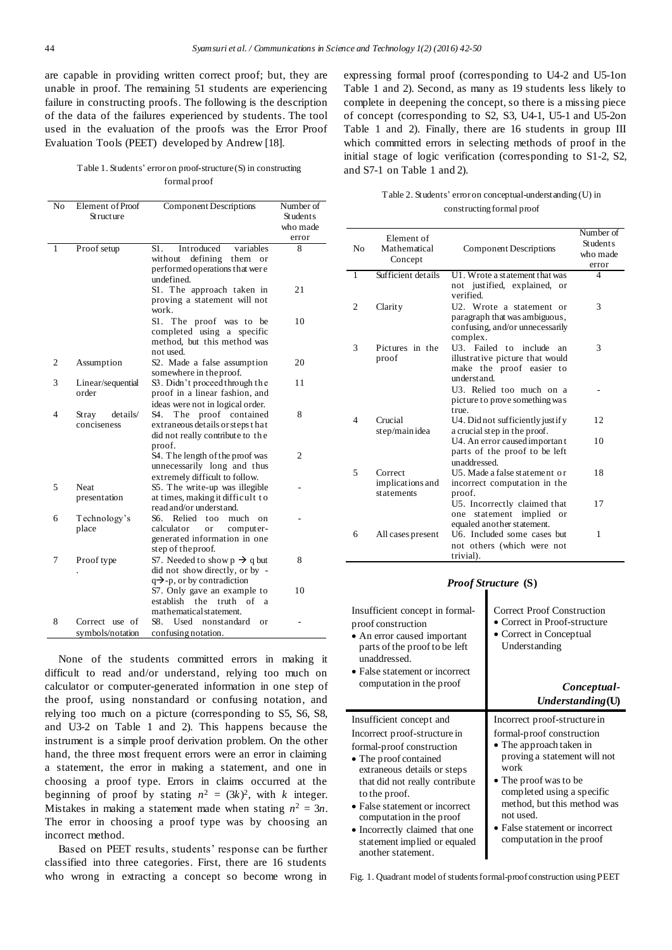are capable in providing written correct proof; but, they are unable in proof. The remaining 51 students are experiencing failure in constructing proofs. The following is the description of the data of the failures experienced by students. The tool used in the evaluation of the proofs was the Error Proof Evaluation Tools (PEET) developed by Andrew [18].

Table 1. Students' error on proof-structure(S) in constructing formal proof

| Students<br>Structure<br>who made<br>error<br>Proof setup<br>S1.<br>Introduced<br>1<br>variables<br>8<br>defining<br>without<br>them<br>or<br>performed operations that were<br>undefined.<br>S1. The approach taken in<br>21<br>proving a statement will not<br>work.<br>S1.<br>The proof was to be<br>10<br>completed using a specific<br>method, but this method was<br>not used.<br>2<br>20 |
|-------------------------------------------------------------------------------------------------------------------------------------------------------------------------------------------------------------------------------------------------------------------------------------------------------------------------------------------------------------------------------------------------|
|                                                                                                                                                                                                                                                                                                                                                                                                 |
|                                                                                                                                                                                                                                                                                                                                                                                                 |
|                                                                                                                                                                                                                                                                                                                                                                                                 |
|                                                                                                                                                                                                                                                                                                                                                                                                 |
|                                                                                                                                                                                                                                                                                                                                                                                                 |
|                                                                                                                                                                                                                                                                                                                                                                                                 |
|                                                                                                                                                                                                                                                                                                                                                                                                 |
|                                                                                                                                                                                                                                                                                                                                                                                                 |
|                                                                                                                                                                                                                                                                                                                                                                                                 |
|                                                                                                                                                                                                                                                                                                                                                                                                 |
|                                                                                                                                                                                                                                                                                                                                                                                                 |
|                                                                                                                                                                                                                                                                                                                                                                                                 |
|                                                                                                                                                                                                                                                                                                                                                                                                 |
|                                                                                                                                                                                                                                                                                                                                                                                                 |
| Assumption<br>S2. Made a false assumption                                                                                                                                                                                                                                                                                                                                                       |
| somewhere in the proof.                                                                                                                                                                                                                                                                                                                                                                         |
| 3<br>S3. Didn't proceed through the<br>11<br>Linear/sequential                                                                                                                                                                                                                                                                                                                                  |
| proof in a linear fashion, and<br>order                                                                                                                                                                                                                                                                                                                                                         |
| ideas were not in logical order.                                                                                                                                                                                                                                                                                                                                                                |
| 8<br>4<br>details/<br>S4.<br>The proof contained<br>Stray                                                                                                                                                                                                                                                                                                                                       |
| conciseness<br>extraneous details or steps that                                                                                                                                                                                                                                                                                                                                                 |
| did not really contribute to the                                                                                                                                                                                                                                                                                                                                                                |
| proof.                                                                                                                                                                                                                                                                                                                                                                                          |
| S4. The length of the proof was<br>2                                                                                                                                                                                                                                                                                                                                                            |
| unnecessarily long and thus<br>extremely difficult to follow.                                                                                                                                                                                                                                                                                                                                   |
| 5<br><b>Neat</b><br>S5. The write-up was illegible                                                                                                                                                                                                                                                                                                                                              |
| presentation<br>at times, making it difficult to                                                                                                                                                                                                                                                                                                                                                |
| read and/or underst and.                                                                                                                                                                                                                                                                                                                                                                        |
| 6<br>Technology's<br>S6.<br>Relied<br>too<br>much<br>on                                                                                                                                                                                                                                                                                                                                         |
| place<br>calculator<br>computer-<br>or                                                                                                                                                                                                                                                                                                                                                          |
| generated information in one                                                                                                                                                                                                                                                                                                                                                                    |
| step of the proof.                                                                                                                                                                                                                                                                                                                                                                              |
| S7. Needed to show $p \rightarrow q$ but<br>7<br>Proof type<br>8                                                                                                                                                                                                                                                                                                                                |
| did not show directly, or by -                                                                                                                                                                                                                                                                                                                                                                  |
| $q\rightarrow$ -p, or by contradiction                                                                                                                                                                                                                                                                                                                                                          |
| S7. Only gave an example to<br>10                                                                                                                                                                                                                                                                                                                                                               |
| establish<br>of<br>the<br>truth<br>a                                                                                                                                                                                                                                                                                                                                                            |
| mathematical statement.                                                                                                                                                                                                                                                                                                                                                                         |
| 8<br>S8.<br>Used<br>nonstandard<br>Correct use of<br>$_{0}r$                                                                                                                                                                                                                                                                                                                                    |
| confusing notation.<br>symbols/notation                                                                                                                                                                                                                                                                                                                                                         |

None of the students committed errors in making it difficult to read and/or understand, relying too much on calculator or computer-generated information in one step of the proof, using nonstandard or confusing notation, and relying too much on a picture (corresponding to S5, S6, S8, and U3-2 on Table 1 and 2). This happens because the instrument is a simple proof derivation problem. On the other hand, the three most frequent errors were an error in claiming a statement, the error in making a statement, and one in choosing a proof type. Errors in claims occurred at the beginning of proof by stating  $n^2 = (3k)^2$ , with *k* integer. Mistakes in making a statement made when stating  $n^2 = 3n$ . The error in choosing a proof type was by choosing an incorrect method.

Based on PEET results, students' response can be further classified into three categories. First, there are 16 students who wrong in extracting a concept so become wrong in expressing formal proof (corresponding to U4-2 and U5-1on Table 1 and 2). Second, as many as 19 students less likely to complete in deepening the concept, so there is a missing piece of concept (corresponding to S2, S3, U4-1, U5-1 and U5-2on Table 1 and 2). Finally, there are 16 students in group III which committed errors in selecting methods of proof in the initial stage of logic verification (corresponding to S1-2, S2, and S7-1 on Table 1 and 2).

## Table 2. Students' error on conceptual-understanding (U) in constructing formal proof

| N <sub>0</sub> | Element of<br>Mathematical<br>Concept     | <b>Component Descriptions</b>                                                                             | Number of<br><b>Students</b><br>who made<br>error |
|----------------|-------------------------------------------|-----------------------------------------------------------------------------------------------------------|---------------------------------------------------|
| 1              | Sufficient details                        | U1. Wrote a statement that was<br>not justified, explained, or<br>verified.                               | 4                                                 |
| 2              | Clarity                                   | U2. Wrote a statement or<br>paragraph that was ambiguous,<br>confusing, and/or unnecessarily<br>complex.  | 3                                                 |
| 3              | Pictures in the<br>proof                  | U3. Failed to include<br>an<br>illustrative picture that would<br>make the proof easier to<br>underst and | 3                                                 |
|                |                                           | U3. Relied too much on a<br>picture to prove something was<br>true.                                       |                                                   |
| 4              | Crucial<br>step/main idea                 | U4. Did not sufficiently justify<br>a crucial step in the proof.                                          | 12                                                |
|                |                                           | U4. An error caused important<br>parts of the proof to be left<br>unaddressed                             | 10                                                |
| 5              | Correct<br>implications and<br>statements | U5. Made a false statement or<br>incorrect computation in the<br>proof.                                   | 18                                                |
|                |                                           | U5. Incorrectly claimed that<br>statement<br>implied<br>one<br>or<br>equaled another statement.           | 17                                                |
| 6              | All cases present                         | U6. Included some cases but<br>not others (which were not<br>trivial).                                    | 1                                                 |

#### *Proof Structure* **(S)**

| Insufficient concept in formal-<br>proof construction<br>• An error caused important<br>parts of the proof to be left<br>unaddressed.<br>• False statement or incorrect<br>computation in the proof | <b>Correct Proof Construction</b><br>• Correct in Proof-structure<br>• Correct in Conceptual<br>Understanding<br>Conceptual-<br>Understanding(U) |
|-----------------------------------------------------------------------------------------------------------------------------------------------------------------------------------------------------|--------------------------------------------------------------------------------------------------------------------------------------------------|
| Insufficient concept and                                                                                                                                                                            | Incorrect proof-structure in                                                                                                                     |
| Incorrect proof-structure in                                                                                                                                                                        | formal-proof construction                                                                                                                        |
| formal-proof construction                                                                                                                                                                           | • The approach taken in                                                                                                                          |
| • The proof contained                                                                                                                                                                               | proving a statement will not                                                                                                                     |
| extraneous details or steps                                                                                                                                                                         | work                                                                                                                                             |
| that did not really contribute                                                                                                                                                                      | • The proof was to be                                                                                                                            |
| to the proof.                                                                                                                                                                                       | completed using a specific                                                                                                                       |
| • False statement or incorrect                                                                                                                                                                      | method, but this method was                                                                                                                      |
| computation in the proof                                                                                                                                                                            | not used.                                                                                                                                        |
| • Incorrectly claimed that one                                                                                                                                                                      | • False statement or incorrect                                                                                                                   |
| statement implied or equaled                                                                                                                                                                        | computation in the proof                                                                                                                         |

Fig. 1. Quadrant model of students formal-proof construction using PEET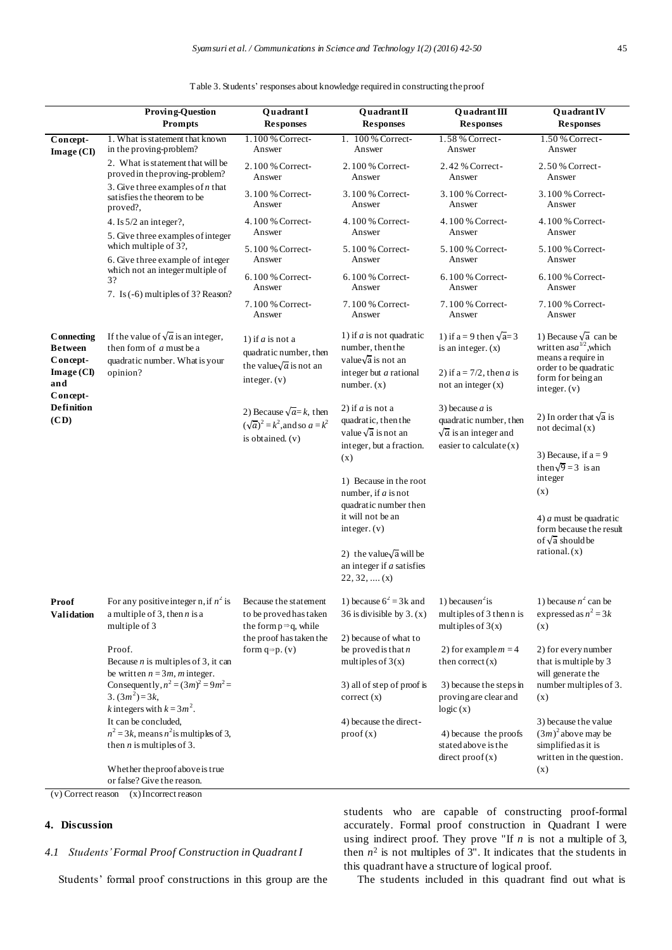Table 3. Students' responses about knowledge required in constructing the proof

|                                                                                                                                   | <b>Proving-Question</b><br>Prompts                                                                                                        | QuadrantI<br><b>Responses</b>                                                                                                                   | Quadrant II<br><b>Responses</b>                                                                               | Quadrant III<br><b>Responses</b>                                                                         | <b>Quadrant IV</b><br><b>Responses</b>                                             |
|-----------------------------------------------------------------------------------------------------------------------------------|-------------------------------------------------------------------------------------------------------------------------------------------|-------------------------------------------------------------------------------------------------------------------------------------------------|---------------------------------------------------------------------------------------------------------------|----------------------------------------------------------------------------------------------------------|------------------------------------------------------------------------------------|
| Concept-<br>Image (CI)                                                                                                            | 1. What is statement that known<br>in the proving-problem?                                                                                | 1.100 % Correct-<br>Answer                                                                                                                      | 1. 100 % Correct-<br>Answer                                                                                   | 1.58 % Correct-<br>Answer                                                                                | 1.50 % Correct-<br>Answer                                                          |
|                                                                                                                                   | 2. What is statement that will be<br>proved in the proving-problem?                                                                       | 2.100 % Correct-<br>Answer                                                                                                                      | 2.100 % Correct-<br>Answer                                                                                    | 2.42 % Correct-<br>Answer                                                                                | 2.50 % Correct-<br>Answer                                                          |
|                                                                                                                                   | 3. Give three examples of $n$ that<br>satisfies the theorem to be<br>proved?,                                                             | 3.100 % Correct-<br>Answer                                                                                                                      | 3.100 % Correct-<br>Answer                                                                                    | 3.100 % Correct-<br>Answer                                                                               | 3.100 % Correct-<br>Answer                                                         |
|                                                                                                                                   | 4. Is 5/2 an integer?,<br>5. Give three examples of integer                                                                               | 4.100 % Correct-<br>Answer                                                                                                                      | 4.100 % Correct-<br>Answer                                                                                    | 4.100 % Correct-<br>Answer                                                                               | 4.100 % Correct-<br>Answer                                                         |
|                                                                                                                                   | which multiple of 3?,<br>6. Give three example of integer<br>which not an integer multiple of<br>3?<br>7. Is (-6) multiples of 3? Reason? | 5.100 % Correct-<br>Answer                                                                                                                      | 5.100 % Correct-<br>Answer                                                                                    | 5.100 % Correct-<br>Answer                                                                               | 5.100 % Correct-<br>Answer                                                         |
|                                                                                                                                   |                                                                                                                                           | 6.100 % Correct-<br>Answer                                                                                                                      | 6.100 % Correct-<br>Answer                                                                                    | 6.100 % Correct-<br>Answer                                                                               | 6.100 % Correct-<br>Answer                                                         |
|                                                                                                                                   |                                                                                                                                           | 7.100 % Correct-<br>Answer                                                                                                                      | 7.100 % Correct-<br>Answer                                                                                    | 7.100 % Correct-<br>Answer                                                                               | 7.100 % Correct-<br>Answer                                                         |
| <b>C</b> onnecting<br><b>Between</b><br>Concept-<br>$\mathbf{Image}(\mathbf{CI})$<br>and<br>Concept-<br><b>Definition</b><br>(CD) | If the value of $\sqrt{a}$ is an integer,<br>then form of $a$ must be a<br>quadratic number. What is your<br>opinion?                     | 1) if $a$ is not a<br>quadratic number, then                                                                                                    | 1) if $a$ is not quadratic<br>number, then the<br>value $\sqrt{a}$ is not an                                  | 1) if a = 9 then $\sqrt{a}$ = 3<br>is an integer. $(x)$                                                  | 1) Because $\sqrt{a}$ can be<br>written as $a^{1/2}$ , which<br>means a require in |
|                                                                                                                                   |                                                                                                                                           | the value $\sqrt{a}$ is not an<br>integer. $(v)$                                                                                                | integer but $a$ rational<br>number. $(x)$                                                                     | 2) if $a = 7/2$ , then a is<br>not an integer $(x)$                                                      | order to be quadratic<br>form for being an<br>integer. $(v)$                       |
|                                                                                                                                   |                                                                                                                                           | 2) Because $\sqrt{a} = k$ , then<br>$(\sqrt{a})^2 = k^2$ , and so $a = k^2$<br>is obtained. (v)                                                 | 2) if $a$ is not a<br>quadratic, then the<br>value $\sqrt{a}$ is not an<br>integer, but a fraction.<br>(x)    | 3) because $a$ is<br>quadratic number, then<br>$\sqrt{a}$ is an integer and<br>easier to calculate $(x)$ | 2) In order that $\sqrt{a}$ is<br>not decimal $(x)$<br>3) Because, if $a = 9$      |
|                                                                                                                                   |                                                                                                                                           |                                                                                                                                                 | 1) Because in the root<br>number, if $a$ is not<br>quadratic number then<br>it will not be an<br>integer. (v) |                                                                                                          | then $\sqrt{9} = 3$ is an<br>integer<br>(x)                                        |
|                                                                                                                                   |                                                                                                                                           |                                                                                                                                                 |                                                                                                               |                                                                                                          | 4) $a$ must be quadratic<br>form because the result<br>of $\sqrt{a}$ should be     |
|                                                                                                                                   |                                                                                                                                           |                                                                                                                                                 | 2) the value $\sqrt{a}$ will be<br>an integer if $a$ satisfies<br>$22, 32, \ldots (x)$                        |                                                                                                          | rational(x)                                                                        |
| Proof<br>Validation                                                                                                               | For any positive integer n, if $n^2$ is<br>a multiple of 3, then $n$ is a<br>multiple of 3                                                | Because the statement<br>to be proved has taken<br>the form $p \Rightarrow q$ , while<br>the proof has taken the<br>form $q \Rightarrow p. (v)$ | 1) because $6^2$ = 3k and<br>36 is divisible by $3. (x)$                                                      | 1) because $n^2$ is<br>multiples of 3 then n is<br>multiples of $3(x)$                                   | 1) because $n^2$ can be<br>expressed as $n^2 = 3k$<br>(x)                          |
|                                                                                                                                   | Proof.<br>Because $n$ is multiples of 3, it can<br>be written $n = 3m$ , m integer.                                                       |                                                                                                                                                 | 2) because of what to<br>be proved is that $n$<br>multiples of $3(x)$                                         | 2) for example $m = 4$<br>then correct $(x)$                                                             | 2) for every number<br>that is multiple by 3<br>will generate the                  |
|                                                                                                                                   | Consequently, $n^2 = (3m)^2 = 9m^2 =$<br>$3. (3m^2) = 3k$ ,<br><i>k</i> integers with $k = 3m^2$ .                                        |                                                                                                                                                 | 3) all of step of proof is<br>correct(x)                                                                      | 3) because the steps in<br>proving are clear and<br>logic(x)                                             | number multiples of 3.<br>(x)                                                      |
|                                                                                                                                   | It can be concluded,<br>$n^2$ = 3k, means $n^2$ is multiples of 3,<br>then $n$ is multiples of 3.                                         |                                                                                                                                                 |                                                                                                               | 4) because the direct-<br>proof(x)                                                                       | 4) because the proofs<br>stated above is the<br>direct proof(x)                    |
|                                                                                                                                   | Whether the proof above is true<br>or false? Give the reason.                                                                             |                                                                                                                                                 |                                                                                                               |                                                                                                          | (x)                                                                                |

(v) Correct reason (x)Incorrect reason

## **4. Discussion**

## *4.1 Students'Formal Proof Construction in Quadrant I*

Students' formal proof constructions in this group are the

students who are capable of constructing proof-formal accurately. Formal proof construction in Quadrant I were using indirect proof. They prove "If *n* is not a multiple of 3, then  $n^2$  is not multiples of  $3$ ". It indicates that the students in this quadrant have a structure of logical proof.

The students included in this quadrant find out what is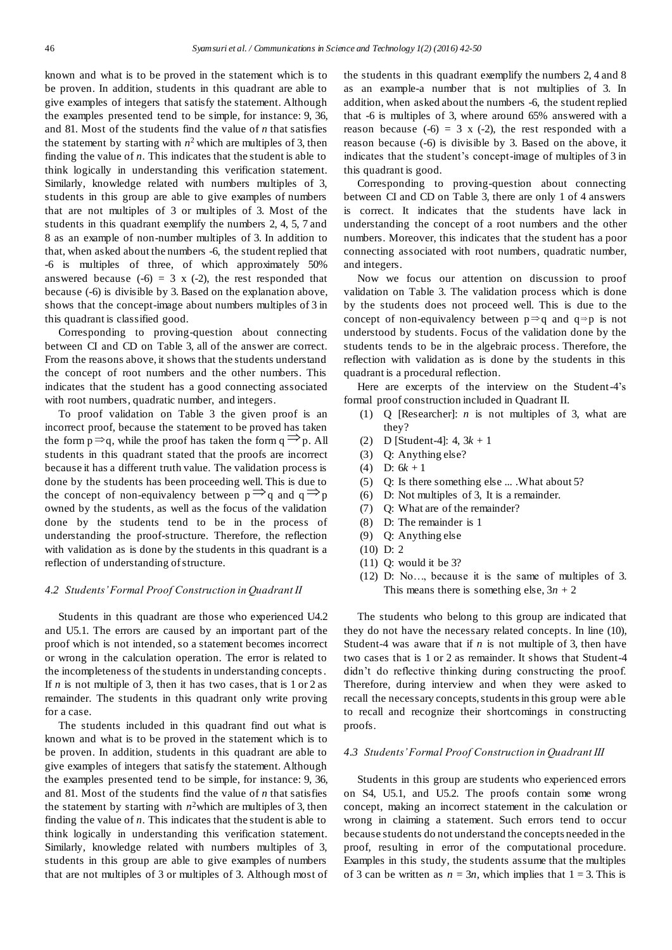known and what is to be proved in the statement which is to be proven. In addition, students in this quadrant are able to give examples of integers that satisfy the statement. Although the examples presented tend to be simple, for instance: 9, 36, and 81. Most of the students find the value of *n* that satisfies the statement by starting with  $n^2$  which are multiples of 3, then finding the value of *n*. This indicates that the student is able to think logically in understanding this verification statement. Similarly, knowledge related with numbers multiples of 3, students in this group are able to give examples of numbers that are not multiples of 3 or multiples of 3. Most of the students in this quadrant exemplify the numbers 2, 4, 5, 7 and 8 as an example of non-number multiples of 3. In addition to that, when asked about the numbers -6, the student replied that -6 is multiples of three, of which approximately 50% answered because  $(-6) = 3 \times (-2)$ , the rest responded that because (-6) is divisible by 3. Based on the explanation above, shows that the concept-image about numbers multiples of 3 in this quadrant is classified good.

Corresponding to proving-question about connecting between CI and CD on Table 3, all of the answer are correct. From the reasons above, it shows that the students understand the concept of root numbers and the other numbers. This indicates that the student has a good connecting associated with root numbers, quadratic number, and integers.

To proof validation on Table 3 the given proof is an incorrect proof, because the statement to be proved has taken the form  $p \rightarrow q$ , while the proof has taken the form  $q \rightarrow p$ . All students in this quadrant stated that the proofs are incorrect because it has a different truth value. The validation process is done by the students has been proceeding well. This is due to the concept of non-equivalency between  $p \rightarrow q$  and  $q \rightarrow p$ owned by the students, as well as the focus of the validation done by the students tend to be in the process of understanding the proof-structure. Therefore, the reflection with validation as is done by the students in this quadrant is a reflection of understanding of structure.

#### *4.2 Students' Formal Proof Construction in Quadrant II*

Students in this quadrant are those who experienced U4.2 and U5.1. The errors are caused by an important part of the proof which is not intended, so a statement becomes incorrect or wrong in the calculation operation. The error is related to the incompleteness of the students in understanding concepts . If *n* is not multiple of 3, then it has two cases, that is 1 or 2 as remainder. The students in this quadrant only write proving for a case.

The students included in this quadrant find out what is known and what is to be proved in the statement which is to be proven. In addition, students in this quadrant are able to give examples of integers that satisfy the statement. Although the examples presented tend to be simple, for instance: 9, 36, and 81. Most of the students find the value of *n* that satisfies the statement by starting with  $n^2$  which are multiples of 3, then finding the value of *n*. This indicates that the student is able to think logically in understanding this verification statement. Similarly, knowledge related with numbers multiples of 3, students in this group are able to give examples of numbers that are not multiples of 3 or multiples of 3. Although most of

the students in this quadrant exemplify the numbers 2, 4 and 8 as an example-a number that is not multiplies of 3. In addition, when asked about the numbers -6, the student replied that -6 is multiples of 3, where around 65% answered with a reason because  $(-6) = 3$  x  $(-2)$ , the rest responded with a reason because (-6) is divisible by 3. Based on the above, it indicates that the student's concept-image of multiples of 3 in this quadrant is good.

Corresponding to proving-question about connecting between CI and CD on Table 3, there are only 1 of 4 answers is correct. It indicates that the students have lack in understanding the concept of a root numbers and the other numbers. Moreover, this indicates that the student has a poor connecting associated with root numbers, quadratic number, and integers.

Now we focus our attention on discussion to proof validation on Table 3. The validation process which is done by the students does not proceed well. This is due to the concept of non-equivalency between  $p \Rightarrow q$  and  $q \Rightarrow p$  is not understood by students. Focus of the validation done by the students tends to be in the algebraic process. Therefore, the reflection with validation as is done by the students in this quadrant is a procedural reflection.

Here are excerpts of the interview on the Student-4's formal proof construction included in Quadrant II.

- (1) Q [Researcher]: *n* is not multiples of 3, what are they?
- (2) D [Student-4]: 4, 3*k* + 1
- (3) Q: Anything else?
- (4) D: 6*k* + 1
- (5) Q: Is there something else ... .What about 5?
- (6) D: Not multiples of 3, It is a remainder.
- (7) Q: What are of the remainder?
- (8) D: The remainder is 1
- (9) Q: Anything else
- (10) D: 2
- (11) Q: would it be 3?
- (12) D: No…, because it is the same of multiples of 3. This means there is something else,  $3n + 2$

The students who belong to this group are indicated that they do not have the necessary related concepts. In line (10), Student-4 was aware that if *n* is not multiple of 3, then have two cases that is 1 or 2 as remainder. It shows that Student-4 didn't do reflective thinking during constructing the proof. Therefore, during interview and when they were asked to recall the necessary concepts, students in this group were able to recall and recognize their shortcomings in constructing proofs.

#### *4.3 Students' Formal Proof Construction in Quadrant III*

Students in this group are students who experienced errors on S4, U5.1, and U5.2. The proofs contain some wrong concept, making an incorrect statement in the calculation or wrong in claiming a statement. Such errors tend to occur because students do not understand the concepts needed in the proof, resulting in error of the computational procedure. Examples in this study, the students assume that the multiples of 3 can be written as  $n = 3n$ , which implies that  $1 = 3$ . This is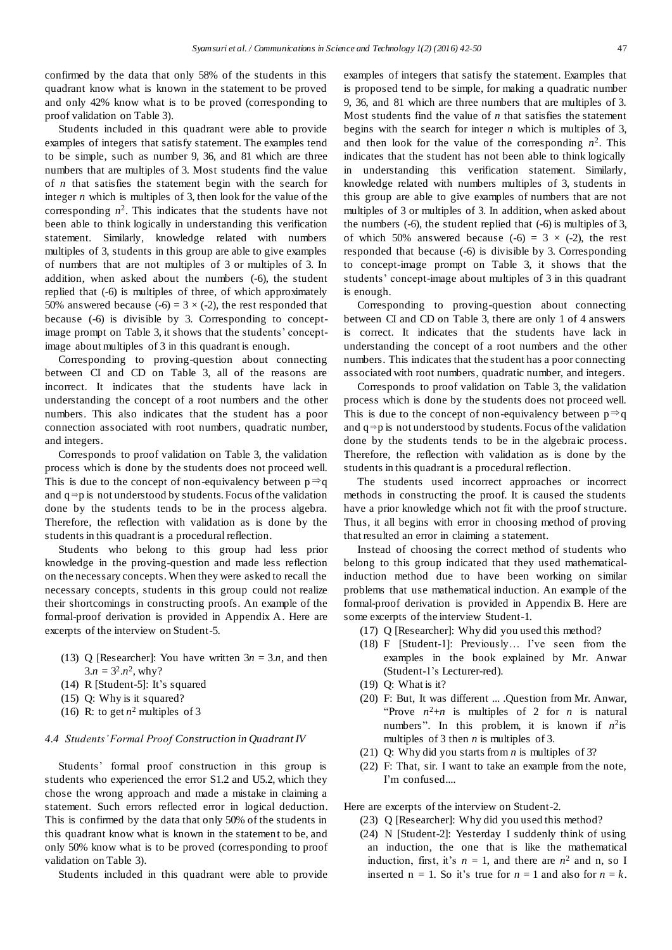confirmed by the data that only 58% of the students in this quadrant know what is known in the statement to be proved and only 42% know what is to be proved (corresponding to proof validation on Table 3).

Students included in this quadrant were able to provide examples of integers that satisfy statement. The examples tend to be simple, such as number 9, 36, and 81 which are three numbers that are multiples of 3. Most students find the value of *n* that satisfies the statement begin with the search for integer *n* which is multiples of 3, then look for the value of the corresponding *n* 2 . This indicates that the students have not been able to think logically in understanding this verification statement. Similarly, knowledge related with numbers multiples of 3, students in this group are able to give examples of numbers that are not multiples of 3 or multiples of 3. In addition, when asked about the numbers (-6), the student replied that (-6) is multiples of three, of which approximately 50% answered because (-6) =  $3 \times$  (-2), the rest responded that because (-6) is divisible by 3. Corresponding to conceptimage prompt on Table 3, it shows that the students' conceptimage about multiples of 3 in this quadrant is enough.

Corresponding to proving-question about connecting between CI and CD on Table 3, all of the reasons are incorrect. It indicates that the students have lack in understanding the concept of a root numbers and the other numbers. This also indicates that the student has a poor connection associated with root numbers, quadratic number, and integers.

Corresponds to proof validation on Table 3, the validation process which is done by the students does not proceed well. This is due to the concept of non-equivalency between  $p \Rightarrow q$ and  $q \Rightarrow p$  is not understood by students. Focus of the validation done by the students tends to be in the process algebra. Therefore, the reflection with validation as is done by the students in this quadrant is a procedural reflection.

Students who belong to this group had less prior knowledge in the proving-question and made less reflection on the necessary concepts. When they were asked to recall the necessary concepts, students in this group could not realize their shortcomings in constructing proofs. An example of the formal-proof derivation is provided in Appendix A. Here are excerpts of the interview on Student-5.

- (13) Q [Researcher]: You have written  $3n = 3.n$ , and then  $3.n = 3^2.n^2$ , why?
- (14) R [Student-5]: It's squared
- (15) Q: Why is it squared?
- (16) R: to get  $n^2$  multiples of 3

#### *4.4 Students' Formal Proof Construction in Quadrant IV*

Students' formal proof construction in this group is students who experienced the error S1.2 and U5.2, which they chose the wrong approach and made a mistake in claiming a statement. Such errors reflected error in logical deduction. This is confirmed by the data that only 50% of the students in this quadrant know what is known in the statement to be, and only 50% know what is to be proved (corresponding to proof validation on Table 3).

Students included in this quadrant were able to provide

examples of integers that satisfy the statement. Examples that is proposed tend to be simple, for making a quadratic number 9, 36, and 81 which are three numbers that are multiples of 3. Most students find the value of *n* that satisfies the statement begins with the search for integer *n* which is multiples of 3, and then look for the value of the corresponding  $n^2$ . This indicates that the student has not been able to think logically in understanding this verification statement. Similarly, knowledge related with numbers multiples of 3, students in this group are able to give examples of numbers that are not multiples of 3 or multiples of 3. In addition, when asked about the numbers (-6), the student replied that (-6) is multiples of 3, of which 50% answered because  $(-6) = 3 \times (-2)$ , the rest responded that because (-6) is divisible by 3. Corresponding to concept-image prompt on Table 3, it shows that the students' concept-image about multiples of 3 in this quadrant is enough.

Corresponding to proving-question about connecting between CI and CD on Table 3, there are only 1 of 4 answers is correct. It indicates that the students have lack in understanding the concept of a root numbers and the other numbers. This indicates that the student has a poor connecting associated with root numbers, quadratic number, and integers.

Corresponds to proof validation on Table 3, the validation process which is done by the students does not proceed well. This is due to the concept of non-equivalency between  $p \Rightarrow q$ and  $q \Rightarrow p$  is not understood by students. Focus of the validation done by the students tends to be in the algebraic process. Therefore, the reflection with validation as is done by the students in this quadrant is a procedural reflection.

The students used incorrect approaches or incorrect methods in constructing the proof. It is caused the students have a prior knowledge which not fit with the proof structure. Thus, it all begins with error in choosing method of proving that resulted an error in claiming a statement.

Instead of choosing the correct method of students who belong to this group indicated that they used mathematicalinduction method due to have been working on similar problems that use mathematical induction. An example of the formal-proof derivation is provided in Appendix B. Here are some excerpts of the interview Student-1.

- (17) Q [Researcher]: Why did you used this method?
- (18) F [Student-1]: Previously… I've seen from the examples in the book explained by Mr. Anwar (Student-1's Lecturer-red).
- (19) Q: What is it?
- (20) F: But, It was different ... .Question from Mr. Anwar, "Prove  $n^2+n$  is multiples of 2 for *n* is natural numbers". In this problem, it is known if  $n^2$  is multiples of 3 then *n* is multiples of 3.
- (21) Q: Why did you starts from *n* is multiples of 3?
- (22) F: That, sir. I want to take an example from the note, I'm confused....

Here are excerpts of the interview on Student-2.

- (23) Q [Researcher]: Why did you used this method?
- (24) N [Student-2]: Yesterday I suddenly think of using an induction, the one that is like the mathematical induction, first, it's  $n = 1$ , and there are  $n^2$  and n, so I inserted  $n = 1$ . So it's true for  $n = 1$  and also for  $n = k$ .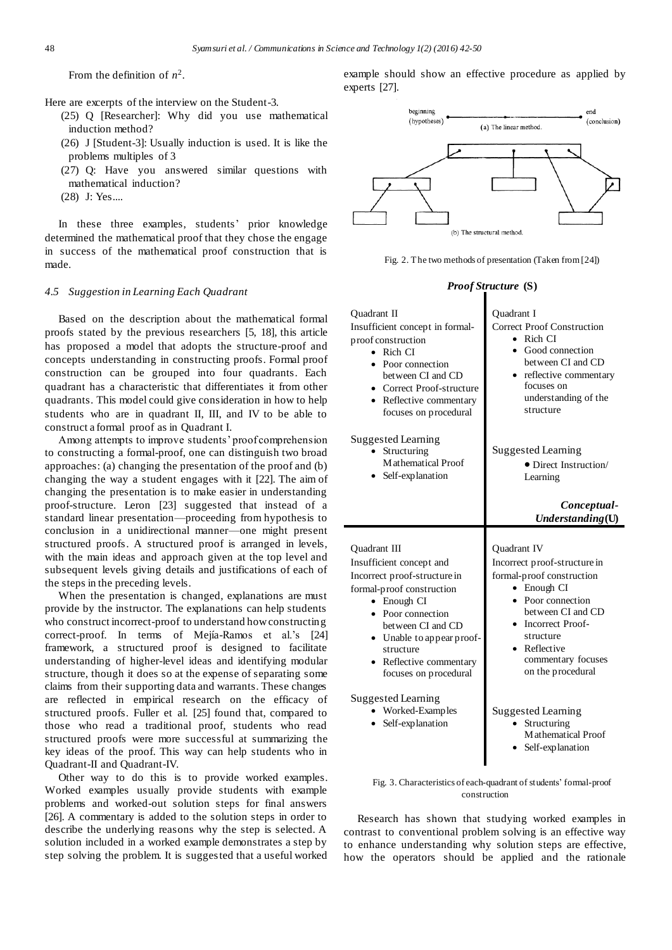From the definition of  $n^2$ .

Here are excerpts of the interview on the Student-3.

- (25) Q [Researcher]: Why did you use mathematical induction method?
- (26) J [Student-3]: Usually induction is used. It is like the problems multiples of 3
- (27) Q: Have you answered similar questions with mathematical induction?
- (28) J: Yes....

In these three examples, students' prior knowledge determined the mathematical proof that they chose the engage in success of the mathematical proof construction that is made.

## *4.5 Suggestion in Learning Each Quadrant*

Based on the description about the mathematical formal proofs stated by the previous researchers [5, 18], this article has proposed a model that adopts the structure-proof and concepts understanding in constructing proofs. Formal proof construction can be grouped into four quadrants. Each quadrant has a characteristic that differentiates it from other quadrants. This model could give consideration in how to help students who are in quadrant II, III, and IV to be able to construct a formal proof as in Quadrant I.

Among attempts to improve students' proof comprehension to constructing a formal-proof, one can distinguish two broad approaches: (a) changing the presentation of the proof and (b) changing the way a student engages with it [22]. The aim of changing the presentation is to make easier in understanding proof-structure. Leron [23] suggested that instead of a standard linear presentation—proceeding from hypothesis to conclusion in a unidirectional manner—one might present structured proofs. A structured proof is arranged in levels, with the main ideas and approach given at the top level and subsequent levels giving details and justifications of each of the steps in the preceding levels.

When the presentation is changed, explanations are must provide by the instructor. The explanations can help students who construct incorrect-proof to understand how constructing correct-proof. In terms of Mejía-Ramos et al.'s [24] framework, a structured proof is designed to facilitate understanding of higher-level ideas and identifying modular structure, though it does so at the expense of separating some claims from their supporting data and warrants. These changes are reflected in empirical research on the efficacy of structured proofs. Fuller et al. [25] found that, compared to those who read a traditional proof, students who read structured proofs were more successful at summarizing the key ideas of the proof. This way can help students who in Quadrant-II and Quadrant-IV.

Other way to do this is to provide worked examples. Worked examples usually provide students with example problems and worked-out solution steps for final answers [26]. A commentary is added to the solution steps in order to describe the underlying reasons why the step is selected. A solution included in a worked example demonstrates a step by step solving the problem. It is suggested that a useful worked example should show an effective procedure as applied by experts [27].



Fig. 2. The two methods of presentation (Taken from [24])

#### *Proof Structure* **(S)**

| <b>Ouadrant II</b><br>Insufficient concept in formal-<br>proof construction<br>Rich CI<br>Poor connection<br>$\bullet$<br>between CI and CD<br>Correct Proof-structure<br>• Reflective commentary<br>focuses on procedural                                                       | Quadrant I<br><b>Correct Proof Construction</b><br>Rich CI<br>Good connection<br>between CI and CD<br>reflective commentary<br>focuses on<br>understanding of the<br>structure                                                   |
|----------------------------------------------------------------------------------------------------------------------------------------------------------------------------------------------------------------------------------------------------------------------------------|----------------------------------------------------------------------------------------------------------------------------------------------------------------------------------------------------------------------------------|
| <b>Suggested Learning</b><br>Structuring<br>Mathematical Proof<br>Self-explanation                                                                                                                                                                                               | Suggested Learning<br>• Direct Instruction/<br>Learning<br>Conceptual-<br>Understanding(U)                                                                                                                                       |
|                                                                                                                                                                                                                                                                                  |                                                                                                                                                                                                                                  |
| Quadrant III<br>Insufficient concept and<br>Incorrect proof-structure in<br>formal-proof construction<br>Enough CI<br>$\bullet$<br>Poor connection<br>$\bullet$<br>between CI and CD<br>• Unable to appear proof-<br>structure<br>Reflective commentary<br>focuses on procedural | Quadrant IV<br>Incorrect proof-structure in<br>formal-proof construction<br>Enough CI<br>Poor connection<br>between CI and CD<br><b>Incorrect Proof-</b><br>structure<br>• Reflective<br>commentary focuses<br>on the procedural |
| <b>Suggested Learning</b><br>Worked-Examples<br>Self-explanation                                                                                                                                                                                                                 | <b>Suggested Learning</b><br>Structuring<br>Mathematical Proof<br>Self-explanation                                                                                                                                               |

Fig. 3. Characteristics of each-quadrant of students' formal-proof construction

Research has shown that studying worked examples in contrast to conventional problem solving is an effective way to enhance understanding why solution steps are effective, how the operators should be applied and the rationale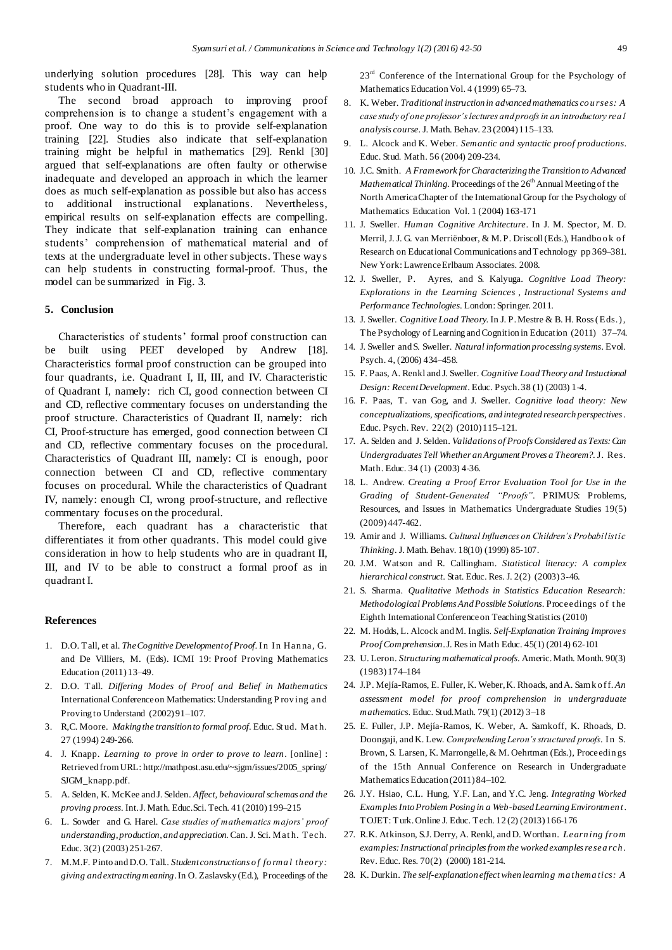underlying solution procedures [28]. This way can help students who in Quadrant-III.

The second broad approach to improving proof comprehension is to change a student's engagement with a proof. One way to do this is to provide self-explanation training [22]. Studies also indicate that self-explanation training might be helpful in mathematics [29]. Renkl [30] argued that self-explanations are often faulty or otherwise inadequate and developed an approach in which the learner does as much self-explanation as possible but also has access to additional instructional explanations. Nevertheless, empirical results on self-explanation effects are compelling. They indicate that self-explanation training can enhance students' comprehension of mathematical material and of texts at the undergraduate level in other subjects. These ways can help students in constructing formal-proof. Thus, the model can be summarized in Fig. 3.

#### **5. Conclusion**

Characteristics of students' formal proof construction can be built using PEET developed by Andrew [18]. Characteristics formal proof construction can be grouped into four quadrants, i.e. Quadrant I, II, III, and IV. Characteristic of Quadrant I, namely: rich CI, good connection between CI and CD, reflective commentary focuses on understanding the proof structure. Characteristics of Quadrant II, namely: rich CI, Proof-structure has emerged, good connection between CI and CD, reflective commentary focuses on the procedural. Characteristics of Quadrant III, namely: CI is enough, poor connection between CI and CD, reflective commentary focuses on procedural. While the characteristics of Quadrant IV, namely: enough CI, wrong proof-structure, and reflective commentary focuses on the procedural.

Therefore, each quadrant has a characteristic that differentiates it from other quadrants. This model could give consideration in how to help students who are in quadrant II, III, and IV to be able to construct a formal proof as in quadrant I.

#### **References**

- 1. D.O. Tall, et al. *The Cognitive Development of Proof*. In In Han na, G. and De Villiers, M. (Eds). ICMI 19: Proof Proving Mathematics Education (2011) 13–49.
- 2. D.O. Tall. *Differing Modes of Proof and Belief in Mathematics* International Conference on Mathematics: Understanding P rov ing an d Proving to Understand (2002) 91–107.
- 3. R,C. Moore. *Making the transition to formal proof*. Educ. St ud. Mat h. 27 (1994) 249-266.
- 4. J. Knapp. *Learning to prove in order to prove to learn*. [online] : Retrieved from URL: http://mathpost.asu.edu/~sjgm/issues/2005\_spring/ SJGM\_knapp.pdf.
- 5. A. Selden, K. McKee and J. Selden. *Affect, behavioural schemas and the proving process*. Int.J. Math. Educ.Sci. Tech. 41 (2010) 199–215
- 6. L. Sowder and G. Harel. *Case studies of mathematics majors' proof understanding, production, and appreciation*. Can. J. Sci. Mat h. Tech. Educ. 3(2) (2003) 251-267.
- 7. M.M.F. Pinto andD.O. Tall.. *Student constructions o f fo rma l th eo ry: giving and extracting meaning*. In O. Zaslavsky (Ed.), Proceedings of the

 $23<sup>rd</sup>$  Conference of the International Group for the Psychology of Mathematics Education Vol. 4 (1999) 65-73.

- 8. K. Weber. *Traditional instruction in advanced mathematics co u rses: A case study of one professor's lectures and proofs in an introductory rea l analysis course*. J. Math. Behav. 23 (2004) 115–133.
- 9. L. Alcock and K. Weber. *Semantic and syntactic proof productions*. Educ. Stud. Math. 56 (2004) 209-234.
- 10. J.C. Smith. *A Framework for Characterizing the Transition to Advanced Mathematical Thinking*. Proceedings of the 26<sup>th</sup> Annual Meeting of the North America Chapter of the International Group for the Psychology of Mathematics Education Vol. 1 (2004) 163-171
- 11. J. Sweller. *Human Cognitive Architecture*. In J. M. Spector, M. D. Merril, J. J. G. van Merriënboer, & M. P. Driscoll (Eds.), Handbook of Research on Educational Communications and Technology pp 369–381. New York: Lawrence Erlbaum Associates. 2008.
- 12. J. Sweller, P. Ayres, and S. Kalyuga. *Cognitive Load Theory: Explorations in the Learning Sciences , Instructional Systems and Performance Technologies*. London: Springer. 2011.
- 13. J. Sweller. *Cognitive Load Theory*. In J. P. Mestre & B. H. Ross (Eds.), The Psychology of Learning and Cognition in Education (2011) 37–74.
- 14. J. Sweller and S. Sweller. *Natural information processing systems*. Evol. Psych. 4, (2006) 434–458.
- 15. F. Paas, A. Renkl and J. Sweller. *Cognitive Load Theory and Instuctional Design: Recent Development*. Educ. Psych.38 (1) (2003) 1-4.
- 16. F. Paas, T. van Gog, and J. Sweller. *Cognitive load theory: New conceptualizations, specifications, and integrated research perspectives*. Educ. Psych. Rev. 22(2) (2010) 115–121.
- 17. A. Selden and J. Selden. *Validations of Proofs Considered as Texts: Can Undergraduates Tell Whether an Argument Proves a Theorem?*. J. Res. Math. Educ. 34 (1) (2003) 4-36.
- 18. L. Andrew. *Creating a Proof Error Evaluation Tool for Use in the Grading of Student-Generated "Proofs"*. PRIMUS: Problems, Resources, and Issues in Mathematics Undergraduate Studies 19(5) (2009) 447-462.
- 19. Amir and J. Williams. *Cultural Influences on Children's Probabilistic Thinking*. J. Math. Behav. 18(10) (1999) 85-107.
- 20. J.M. Watson and R. Callingham. *Statistical literacy: A complex hierarchical construct*. Stat. Educ. Res. J. 2(2) (2003) 3-46.
- 21. S. Sharma. *Qualitative Methods in Statistics Education Research: Methodological Problems And Possible Solutions*. Proceedings of the Eighth International Conference on Teaching Statistics (2010)
- 22. M. Hodds, L. Alcock and M. Inglis. *Self-Explanation Training Improves Proof Comprehension*. J. Resin Math Educ. 45(1) (2014) 62-101
- 23. U. Leron. *Structuring mathematical proofs*. Americ.Math. Month. 90(3) (1983) 174–184
- 24. J.P. Mejía-Ramos, E. Fuller, K. Weber, K. Rhoads, and A. Sam k o ff. *An assessment model for proof comprehension in undergraduate mathematics*. Educ. Stud.Math. 79(1) (2012) 3–18
- 25. E. Fuller, J.P. Mejía-Ramos, K. Weber, A. Samkoff, K. Rhoads, D. Doongaji, and K. Lew. *Comprehending Leron's structured proofs*. In S. Brown, S. Larsen, K. Marrongelle, & M. Oehrtman (Eds.), Proceedin gs of the 15th Annual Conference on Research in Undergraduate Mathematics Education (2011) 84–102.
- 26. J.Y. Hsiao, C.L. Hung, Y.F. Lan, and Y.C. Jeng*. Integrating Worked Examples Into Problem Posing in a Web-based Learning Environtmen t*. TOJET: Turk.Online J. Educ. Tech. 12 (2) (2013) 166-176
- 27. R.K. Atkinson, S.J. Derry, A. Renkl, and D. Worthan. *Learn ing fro m examples: Instructional principles from the worked examples resea rch*. Rev. Educ. Res. 70(2) (2000) 181-214.
- 28. K. Durkin. *The self-explanation effect when learnin g ma thema tics: A*